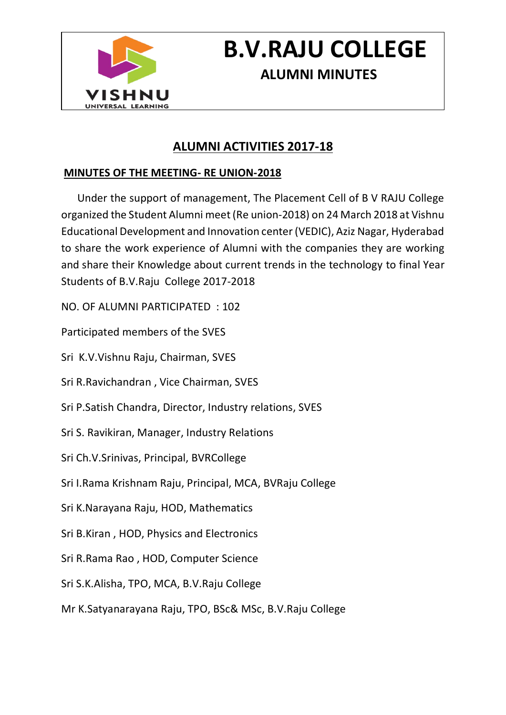

# **B.V.RAJU COLLEGE ALUMNI MINUTES**

## **ALUMNI ACTIVITIES 2017-18**

### **MINUTES OF THE MEETING- RE UNION-2018**

 Under the support of management, The Placement Cell of B V RAJU College organized the Student Alumni meet (Re union-2018) on 24 March 2018 at Vishnu Educational Development and Innovation center (VEDIC), Aziz Nagar, Hyderabad to share the work experience of Alumni with the companies they are working and share their Knowledge about current trends in the technology to final Year Students of B.V.Raju College 2017-2018

NO. OF ALUMNI PARTICIPATED : 102

Participated members of the SVES

Sri K.V.Vishnu Raju, Chairman, SVES

Sri R.Ravichandran , Vice Chairman, SVES

Sri P.Satish Chandra, Director, Industry relations, SVES

Sri S. Ravikiran, Manager, Industry Relations

Sri Ch.V.Srinivas, Principal, BVRCollege

Sri I.Rama Krishnam Raju, Principal, MCA, BVRaju College

Sri K.Narayana Raju, HOD, Mathematics

Sri B.Kiran , HOD, Physics and Electronics

Sri R.Rama Rao , HOD, Computer Science

Sri S.K.Alisha, TPO, MCA, B.V.Raju College

Mr K.Satyanarayana Raju, TPO, BSc& MSc, B.V.Raju College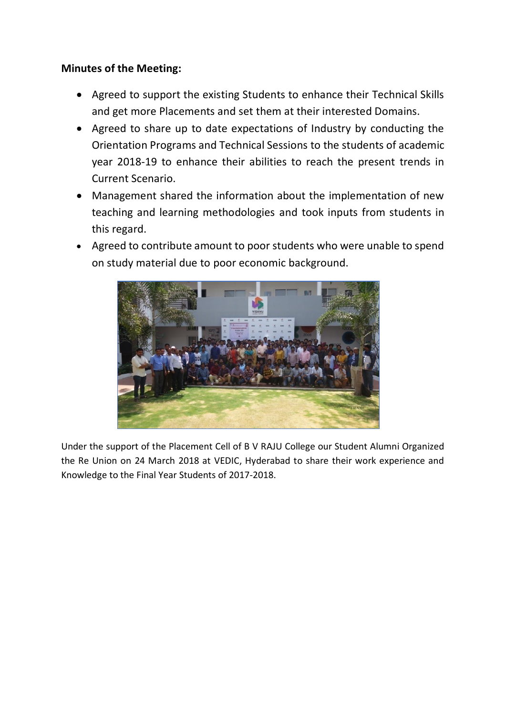#### **Minutes of the Meeting:**

- Agreed to support the existing Students to enhance their Technical Skills and get more Placements and set them at their interested Domains.
- Agreed to share up to date expectations of Industry by conducting the Orientation Programs and Technical Sessions to the students of academic year 2018-19 to enhance their abilities to reach the present trends in Current Scenario.
- Management shared the information about the implementation of new teaching and learning methodologies and took inputs from students in this regard.
- Agreed to contribute amount to poor students who were unable to spend on study material due to poor economic background.



Under the support of the Placement Cell of B V RAJU College our Student Alumni Organized the Re Union on 24 March 2018 at VEDIC, Hyderabad to share their work experience and Knowledge to the Final Year Students of 2017-2018.